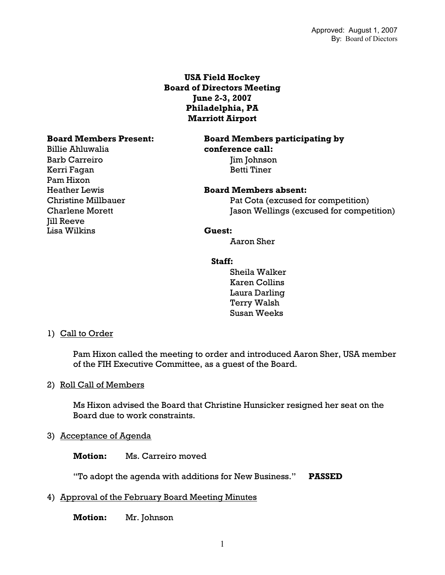## **USA Field Hockey Board of Directors Meeting June 2-3, 2007 Philadelphia, PA Marriott Airport**

Billie Ahluwalia **conference call:** Barb Carreiro Jim Johnson Kerri Fagan Betti Tiner Pam Hixon **Jill Reeve** Lisa Wilkins **Guest:**

# **Board Members Present: Board Members participating by**

### Heather Lewis **Board Members absent:**

Christine Millbauer Pat Cota (excused for competition) Charlene Morett Jason Wellings (excused for competition)

Aaron Sher

#### **Staff:**

 Sheila Walker Karen Collins Laura Darling Terry Walsh Susan Weeks

#### 1) Call to Order

Pam Hixon called the meeting to order and introduced Aaron Sher, USA member of the FIH Executive Committee, as a guest of the Board.

#### 2) Roll Call of Members

Ms Hixon advised the Board that Christine Hunsicker resigned her seat on the Board due to work constraints.

#### 3) Acceptance of Agenda

**Motion:** Ms. Carreiro moved

"To adopt the agenda with additions for New Business." **PASSED**

#### 4) Approval of the February Board Meeting Minutes

**Motion:** Mr. Johnson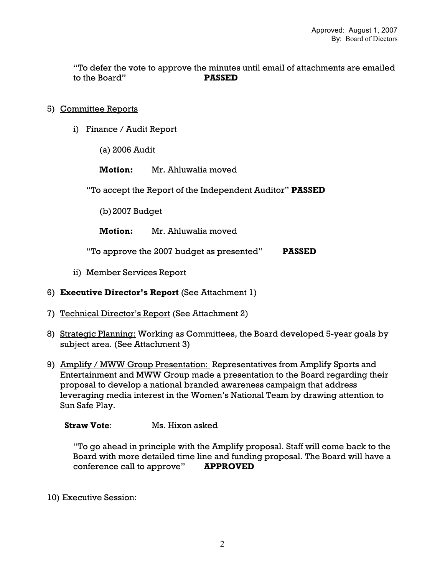"To defer the vote to approve the minutes until email of attachments are emailed to the Board" **PASSED** 

### 5) Committee Reports

- i) Finance / Audit Report
	- (a) 2006 Audit

**Motion:** Mr. Ahluwalia moved

"To accept the Report of the Independent Auditor" **PASSED**

(b)2007 Budget

**Motion:** Mr. Ahluwalia moved

"To approve the 2007 budget as presented" **PASSED** 

- ii) Member Services Report
- 6) **Executive Director's Report** (See Attachment 1)
- 7) Technical Director's Report (See Attachment 2)
- 8) Strategic Planning: Working as Committees, the Board developed 5-year goals by subject area. (See Attachment 3)
- 9) Amplify / MWW Group Presentation: Representatives from Amplify Sports and Entertainment and MWW Group made a presentation to the Board regarding their proposal to develop a national branded awareness campaign that address leveraging media interest in the Women's National Team by drawing attention to Sun Safe Play.

**Straw Vote:** Ms. Hixon asked

"To go ahead in principle with the Amplify proposal. Staff will come back to the Board with more detailed time line and funding proposal. The Board will have a conference call to approve" **APPROVED** 

10) Executive Session: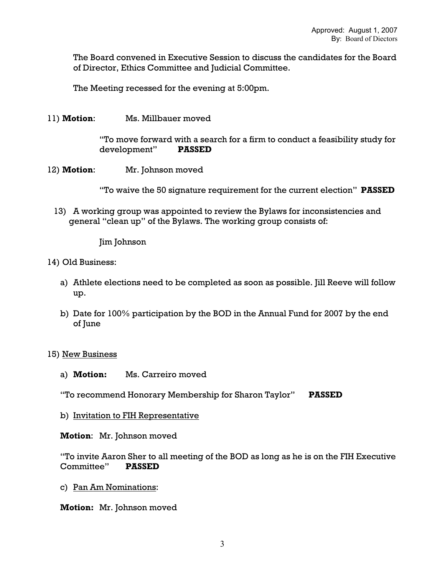The Board convened in Executive Session to discuss the candidates for the Board of Director, Ethics Committee and Judicial Committee.

The Meeting recessed for the evening at 5:00pm.

11) **Motion**: Ms. Millbauer moved

"To move forward with a search for a firm to conduct a feasibility study for development" **PASSED** 

12) **Motion**: Mr. Johnson moved

"To waive the 50 signature requirement for the current election" **PASSED** 

13) A working group was appointed to review the Bylaws for inconsistencies and general "clean up" of the Bylaws. The working group consists of:

Jim Johnson

- 14) Old Business:
	- a) Athlete elections need to be completed as soon as possible. Jill Reeve will follow up.
	- b) Date for 100% participation by the BOD in the Annual Fund for 2007 by the end of June

#### 15) New Business

a) **Motion:** Ms. Carreiro moved

"To recommend Honorary Membership for Sharon Taylor" **PASSED**

b) Invitation to FIH Representative

**Motion**: Mr. Johnson moved

"To invite Aaron Sher to all meeting of the BOD as long as he is on the FIH Executive Committee" **PASSED** 

c) Pan Am Nominations:

**Motion:** Mr. Johnson moved